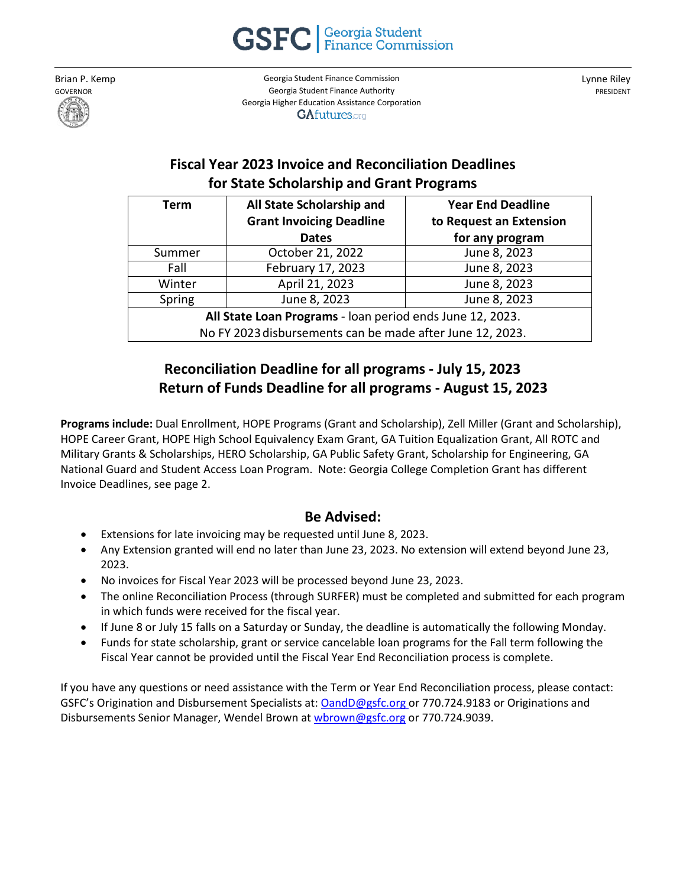**GSFC Georgia** Student

Brian P. Kemp GOVERNOR

Georgia Student Finance Commission Georgia Student Finance Authority Georgia Higher Education Assistance Corporation **GAfutures.org** 

Lynne Riley PRESIDENT

## **Fiscal Year 2023 Invoice and Reconciliation Deadlines for State Scholarship and Grant Programs**

| Term                                                      | All State Scholarship and       | <b>Year End Deadline</b> |
|-----------------------------------------------------------|---------------------------------|--------------------------|
|                                                           | <b>Grant Invoicing Deadline</b> | to Request an Extension  |
|                                                           | <b>Dates</b>                    | for any program          |
| Summer                                                    | October 21, 2022                | June 8, 2023             |
| Fall                                                      | February 17, 2023               | June 8, 2023             |
| Winter                                                    | April 21, 2023                  | June 8, 2023             |
| Spring                                                    | June 8, 2023                    | June 8, 2023             |
| All State Loan Programs - loan period ends June 12, 2023. |                                 |                          |
| No FY 2023 disbursements can be made after June 12, 2023. |                                 |                          |

## **Reconciliation Deadline for all programs - July 15, 2023 Return of Funds Deadline for all programs - August 15, 2023**

**Programs include:** Dual Enrollment, HOPE Programs (Grant and Scholarship), Zell Miller (Grant and Scholarship), HOPE Career Grant, HOPE High School Equivalency Exam Grant, GA Tuition Equalization Grant, All ROTC and Military Grants & Scholarships, HERO Scholarship, GA Public Safety Grant, Scholarship for Engineering, GA National Guard and Student Access Loan Program. Note: Georgia College Completion Grant has different Invoice Deadlines, see page 2.

### **Be Advised:**

- Extensions for late invoicing may be requested until June 8, 2023.
- Any Extension granted will end no later than June 23, 2023. No extension will extend beyond June 23, 2023.
- No invoices for Fiscal Year 2023 will be processed beyond June 23, 2023.
- The online Reconciliation Process (through SURFER) must be completed and submitted for each program in which funds were received for the fiscal year.
- If June 8 or July 15 falls on a Saturday or Sunday, the deadline is automatically the following Monday.
- Funds for state scholarship, grant or service cancelable loan programs for the Fall term following the Fiscal Year cannot be provided until the Fiscal Year End Reconciliation process is complete.

If you have any questions or need assistance with the Term or Year End Reconciliation process, please contact: GSFC's Origination and Disbursement Specialists at: [OandD@gsfc.org o](mailto:OandD@gsfc.org)r 770.724.9183 or Originations and Disbursements Senior Manager, Wendel Brown at [wbrown@gsfc.org](mailto:wbrown@gsfc.org) or 770.724.9039.